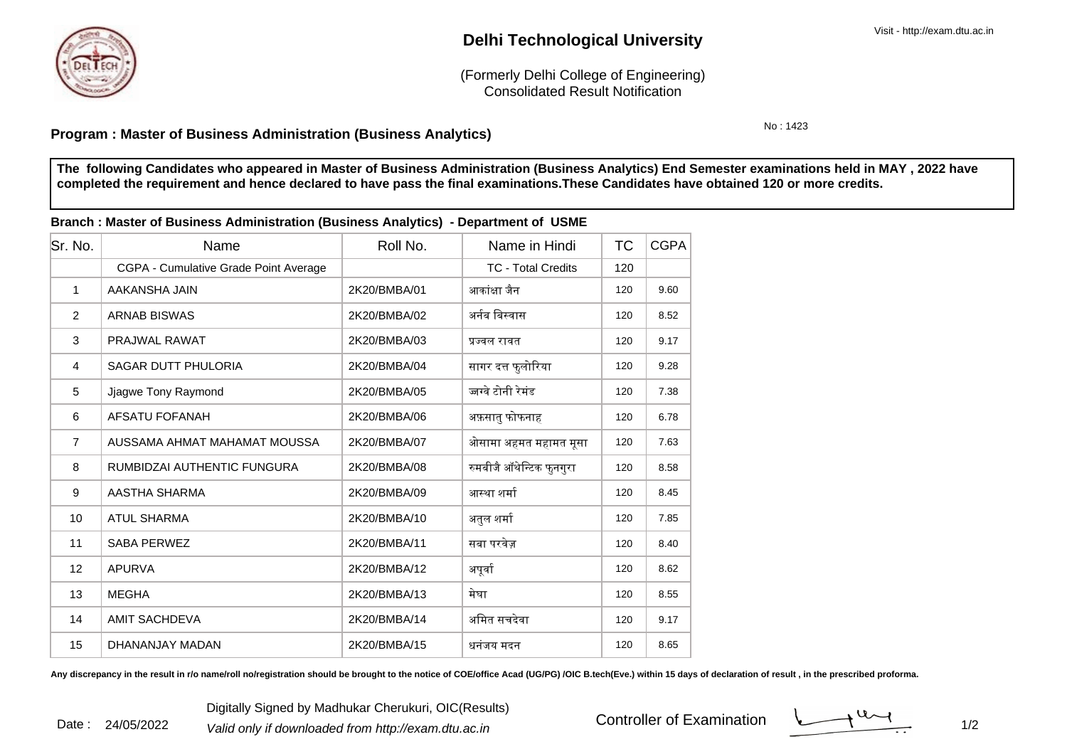

Date : 24/05/2022

## **Delhi Technological University**

Consolidated Result Notification(Formerly Delhi College of Engineering)

No : 1423

## **Program : Master of Business Administration (Business Analytics)**

**The following Candidates who appeared in Master of Business Administration (Business Analytics) End Semester examinations held in MAY , 2022 havecompleted the requirement and hence declared to have pass the final examinations.These Candidates have obtained 120 or more credits.**

| Branch : Master of Business Administration (Business Analytics) - Department of USME |                                       |              |                           |           |             |  |  |  |  |
|--------------------------------------------------------------------------------------|---------------------------------------|--------------|---------------------------|-----------|-------------|--|--|--|--|
| Sr. No.                                                                              | Name                                  | Roll No.     | Name in Hindi             | <b>TC</b> | <b>CGPA</b> |  |  |  |  |
|                                                                                      | CGPA - Cumulative Grade Point Average |              | <b>TC - Total Credits</b> | 120       |             |  |  |  |  |
| $\mathbf{1}$                                                                         | AAKANSHA JAIN                         | 2K20/BMBA/01 | आकांक्षा जैन              | 120       | 9.60        |  |  |  |  |
| $\overline{2}$                                                                       | <b>ARNAB BISWAS</b>                   | 2K20/BMBA/02 | अर्नब बिस्वास             | 120       | 8.52        |  |  |  |  |
| 3                                                                                    | <b>PRAJWAL RAWAT</b>                  | 2K20/BMBA/03 | प्रज्वल रावत              | 120       | 9.17        |  |  |  |  |
| $\overline{4}$                                                                       | <b>SAGAR DUTT PHULORIA</b>            | 2K20/BMBA/04 | सागर दत्त फुलोरिया        | 120       | 9.28        |  |  |  |  |
| 5                                                                                    | Jjagwe Tony Raymond                   | 2K20/BMBA/05 | ज्जग्वे टोनी रेमंड        | 120       | 7.38        |  |  |  |  |
| 6                                                                                    | <b>AFSATU FOFANAH</b>                 | 2K20/BMBA/06 | अफ़सातु फोफनाह            | 120       | 6.78        |  |  |  |  |
| $\overline{7}$                                                                       | AUSSAMA AHMAT MAHAMAT MOUSSA          | 2K20/BMBA/07 | ओसामा अहमत महामत मूसा     | 120       | 7.63        |  |  |  |  |
| 8                                                                                    | RUMBIDZAI AUTHENTIC FUNGURA           | 2K20/BMBA/08 | रुमबीजै ऑथेन्टिक फुनगुरा  | 120       | 8.58        |  |  |  |  |
| 9                                                                                    | AASTHA SHARMA                         | 2K20/BMBA/09 | आस्था शर्मा               | 120       | 8.45        |  |  |  |  |
| 10                                                                                   | <b>ATUL SHARMA</b>                    | 2K20/BMBA/10 | अतुल शर्मा                | 120       | 7.85        |  |  |  |  |
| 11                                                                                   | <b>SABA PERWEZ</b>                    | 2K20/BMBA/11 | सबा परवेज़                | 120       | 8.40        |  |  |  |  |
| 12 <sup>2</sup>                                                                      | <b>APURVA</b>                         | 2K20/BMBA/12 | अपूर्वा                   | 120       | 8.62        |  |  |  |  |
| 13                                                                                   | <b>MEGHA</b>                          | 2K20/BMBA/13 | मेघा                      | 120       | 8.55        |  |  |  |  |
| 14                                                                                   | <b>AMIT SACHDEVA</b>                  | 2K20/BMBA/14 | अमित सचदेवा               | 120       | 9.17        |  |  |  |  |
| 15                                                                                   | DHANANJAY MADAN                       | 2K20/BMBA/15 | धनंजय मदन                 | 120       | 8.65        |  |  |  |  |

Any discrepancy in the result in r/o name/roll no/registration should be brought to the notice of COE/office Acad (UG/PG) /OIC B.tech(Eve.) within 15 days of declaration of result , in the prescribed proforma.

Controller of Examination

 $\frac{1}{2}$  1/2